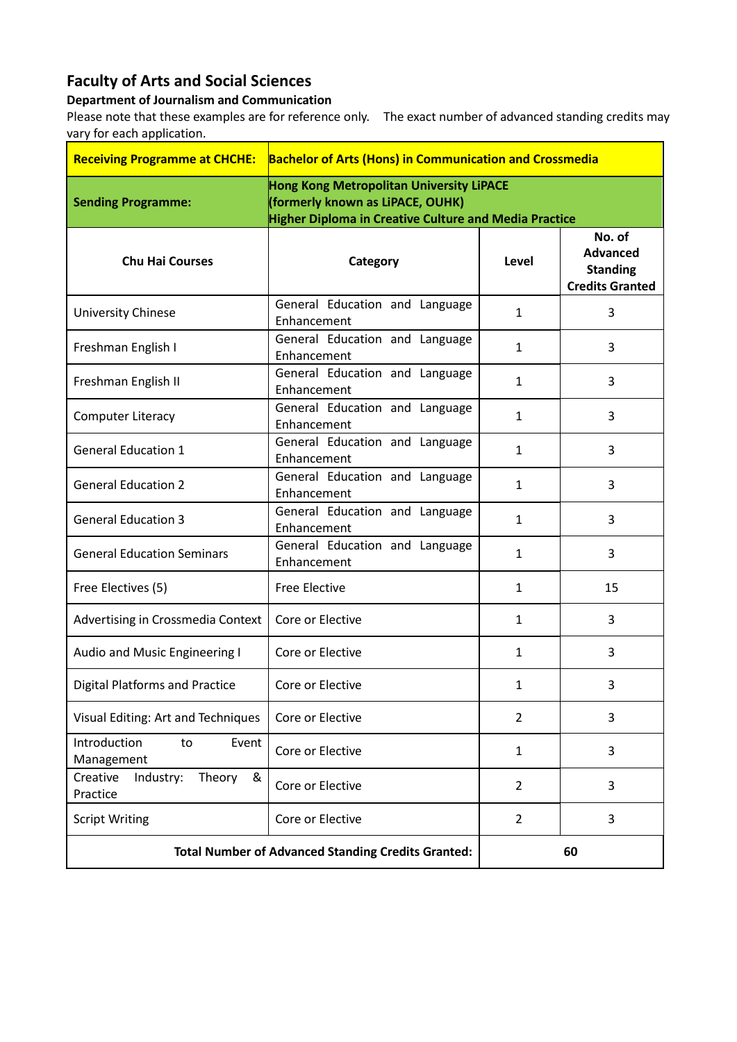## **Faculty of Arts and Social Sciences**

## **Department of Journalism and Communication**

Please note that these examples are for reference only. The exact number of advanced standing credits may vary for each application.

| <b>Receiving Programme at CHCHE:</b>                      | <b>Bachelor of Arts (Hons) in Communication and Crossmedia</b>                                                                               |                |                                                                        |  |
|-----------------------------------------------------------|----------------------------------------------------------------------------------------------------------------------------------------------|----------------|------------------------------------------------------------------------|--|
| <b>Sending Programme:</b>                                 | Hong Kong Metropolitan University LiPACE<br>(formerly known as LiPACE, OUHK)<br><b>Higher Diploma in Creative Culture and Media Practice</b> |                |                                                                        |  |
| <b>Chu Hai Courses</b>                                    | Category                                                                                                                                     | Level          | No. of<br><b>Advanced</b><br><b>Standing</b><br><b>Credits Granted</b> |  |
| <b>University Chinese</b>                                 | General Education and Language<br>Enhancement                                                                                                | $\mathbf{1}$   | 3                                                                      |  |
| Freshman English I                                        | General Education and Language<br>Enhancement                                                                                                | $\mathbf{1}$   | 3                                                                      |  |
| Freshman English II                                       | General Education and Language<br>Enhancement                                                                                                | 1              | 3                                                                      |  |
| <b>Computer Literacy</b>                                  | General Education and Language<br>Enhancement                                                                                                | $\mathbf{1}$   | 3                                                                      |  |
| <b>General Education 1</b>                                | General Education and Language<br>Enhancement                                                                                                | $\mathbf{1}$   | 3                                                                      |  |
| <b>General Education 2</b>                                | General Education and Language<br>Enhancement                                                                                                | $\mathbf{1}$   | 3                                                                      |  |
| <b>General Education 3</b>                                | General Education and Language<br>Enhancement                                                                                                | $\mathbf{1}$   | 3                                                                      |  |
| <b>General Education Seminars</b>                         | General Education and Language<br>Enhancement                                                                                                | $\mathbf{1}$   | 3                                                                      |  |
| Free Electives (5)                                        | <b>Free Elective</b>                                                                                                                         | 1              | 15                                                                     |  |
| Advertising in Crossmedia Context                         | Core or Elective                                                                                                                             | $\mathbf{1}$   | 3                                                                      |  |
| Audio and Music Engineering I                             | Core or Elective                                                                                                                             | $\mathbf{1}$   | 3                                                                      |  |
| <b>Digital Platforms and Practice</b>                     | Core or Elective                                                                                                                             | $\mathbf{1}$   | 3                                                                      |  |
| Visual Editing: Art and Techniques                        | Core or Elective                                                                                                                             | $\overline{2}$ | 3                                                                      |  |
| Introduction<br>Event<br>to<br>Management                 | Core or Elective                                                                                                                             | 1              | 3                                                                      |  |
| Theory<br>Creative<br>Industry:<br>&<br>Practice          | Core or Elective                                                                                                                             | $\overline{2}$ | 3                                                                      |  |
| <b>Script Writing</b>                                     | Core or Elective                                                                                                                             | $\overline{2}$ | 3                                                                      |  |
| <b>Total Number of Advanced Standing Credits Granted:</b> |                                                                                                                                              | 60             |                                                                        |  |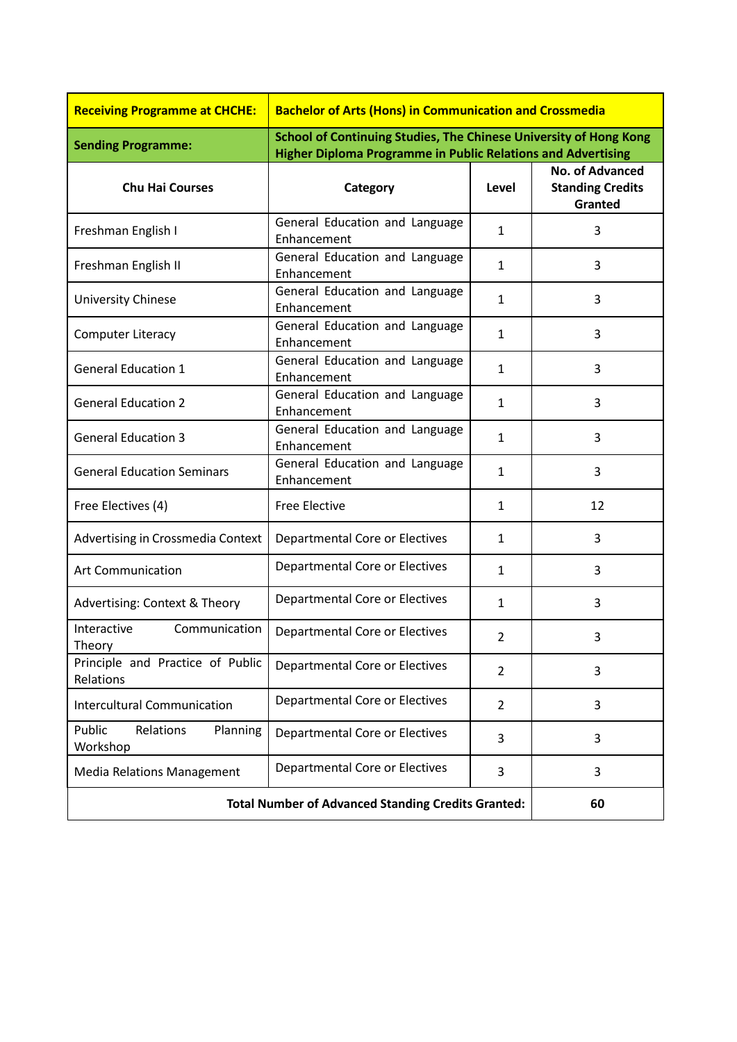| <b>Receiving Programme at CHCHE:</b>                      | <b>Bachelor of Arts (Hons) in Communication and Crossmedia</b>                                                                           |                |                                                              |
|-----------------------------------------------------------|------------------------------------------------------------------------------------------------------------------------------------------|----------------|--------------------------------------------------------------|
| <b>Sending Programme:</b>                                 | School of Continuing Studies, The Chinese University of Hong Kong<br><b>Higher Diploma Programme in Public Relations and Advertising</b> |                |                                                              |
| <b>Chu Hai Courses</b>                                    | Category                                                                                                                                 | Level          | <b>No. of Advanced</b><br><b>Standing Credits</b><br>Granted |
| Freshman English I                                        | General Education and Language<br>Enhancement                                                                                            | $\mathbf{1}$   | 3                                                            |
| Freshman English II                                       | General Education and Language<br>Enhancement                                                                                            | $\mathbf{1}$   | 3                                                            |
| <b>University Chinese</b>                                 | General Education and Language<br>Enhancement                                                                                            | $\mathbf{1}$   | 3                                                            |
| <b>Computer Literacy</b>                                  | General Education and Language<br>Enhancement                                                                                            | $\mathbf{1}$   | 3                                                            |
| <b>General Education 1</b>                                | General Education and Language<br>Enhancement                                                                                            | $\mathbf{1}$   | 3                                                            |
| <b>General Education 2</b>                                | General Education and Language<br>Enhancement                                                                                            | $\mathbf{1}$   | 3                                                            |
| <b>General Education 3</b>                                | General Education and Language<br>Enhancement                                                                                            | $\mathbf{1}$   | 3                                                            |
| <b>General Education Seminars</b>                         | General Education and Language<br>Enhancement                                                                                            | $\mathbf{1}$   | 3                                                            |
| Free Electives (4)                                        | <b>Free Elective</b>                                                                                                                     | $\mathbf{1}$   | 12                                                           |
| Advertising in Crossmedia Context                         | <b>Departmental Core or Electives</b>                                                                                                    | $\mathbf{1}$   | 3                                                            |
| <b>Art Communication</b>                                  | Departmental Core or Electives                                                                                                           | 1              | 3                                                            |
| Advertising: Context & Theory                             | Departmental Core or Electives                                                                                                           | $\mathbf{1}$   | 3                                                            |
| Interactive<br>Communication<br>Theory                    | Departmental Core or Electives                                                                                                           | $\overline{2}$ | 3                                                            |
| Principle and Practice of Public<br>Relations             | Departmental Core or Electives                                                                                                           | 2              | 3                                                            |
| <b>Intercultural Communication</b>                        | Departmental Core or Electives                                                                                                           | 2              | 3                                                            |
| Public<br>Relations<br>Planning<br>Workshop               | Departmental Core or Electives                                                                                                           | 3              | 3                                                            |
| <b>Media Relations Management</b>                         | Departmental Core or Electives                                                                                                           | 3              | 3                                                            |
| <b>Total Number of Advanced Standing Credits Granted:</b> |                                                                                                                                          |                | 60                                                           |